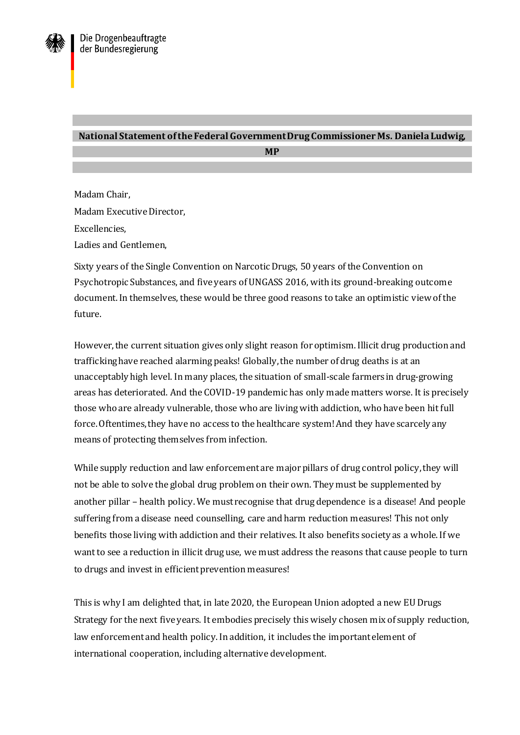

## **National Statement of the Federal Government Drug Commissioner Ms. Daniela Ludwig,**

**MP**

Madam Chair, Madam Executive Director, Excellencies, Ladies and Gentlemen,

Sixty years of the Single Convention on Narcotic Drugs, 50 years of the Convention on Psychotropic Substances, and five years of UNGASS 2016, with its ground-breaking outcome document. In themselves, these would be three good reasons to take an optimistic view of the future.

However, the current situation gives only slight reason for optimism. Illicit drug production and trafficking have reached alarming peaks! Globally, the number of drug deaths is at an unacceptably high level. In many places, the situation of small-scale farmers in drug-growing areas has deteriorated. And the COVID-19 pandemic has only made matters worse. It is precisely those who are already vulnerable, those who are living with addiction, who have been hit full force. Oftentimes, they have no access to the healthcare system! And they have scarcely any means of protecting themselves from infection.

While supply reduction and law enforcement are major pillars of drug control policy, they will not be able to solve the global drug problem on their own. They must be supplemented by another pillar – health policy. We must recognise that drug dependence is a disease! And people suffering from a disease need counselling, care and harm reduction measures! This not only benefits those living with addiction and their relatives. It also benefits society as a whole. If we want to see a reduction in illicit drug use, we must address the reasons that cause people to turn to drugs and invest in efficient prevention measures!

This is why I am delighted that, in late 2020, the European Union adopted a new EU Drugs Strategy for the next five years. It embodies precisely this wisely chosen mix of supply reduction, law enforcement and health policy. In addition, it includes the important element of international cooperation, including alternative development.